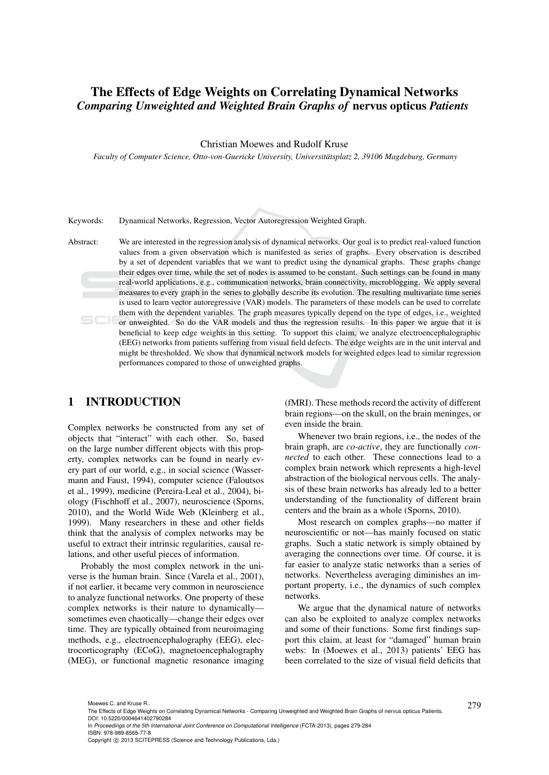# The Effects of Edge Weights on Correlating Dynamical Networks *Comparing Unweighted and Weighted Brain Graphs of* nervus opticus *Patients*

Christian Moewes and Rudolf Kruse

*Faculty of Computer Science, Otto-von-Guericke University, Universitatsplatz 2, 39106 Magdeburg, Germany ¨*

Keywords: Dynamical Networks, Regression, Vector Autoregression Weighted Graph.

Abstract: We are interested in the regression analysis of dynamical networks. Our goal is to predict real-valued function values from a given observation which is manifested as series of graphs. Every observation is described by a set of dependent variables that we want to predict using the dynamical graphs. These graphs change their edges over time, while the set of nodes is assumed to be constant. Such settings can be found in many real-world applications, e.g., communication networks, brain connectivity, microblogging. We apply several measures to every graph in the series to globally describe its evolution. The resulting multivariate time series is used to learn vector autoregressive (VAR) models. The parameters of these models can be used to correlate them with the dependent variables. The graph measures typically depend on the type of edges, i.e., weighted or unweighted. So do the VAR models and thus the regression results. In this paper we argue that it is beneficial to keep edge weights in this setting. To support this claim, we analyze electroencephalographic (EEG) networks from patients suffering from visual field defects. The edge weights are in the unit interval and might be thresholded. We show that dynamical network models for weighted edges lead to similar regression performances compared to those of unweighted graphs.

## 1 INTRODUCTION

Complex networks be constructed from any set of objects that "interact" with each other. So, based on the large number different objects with this property, complex networks can be found in nearly every part of our world, e.g., in social science (Wassermann and Faust, 1994), computer science (Faloutsos et al., 1999), medicine (Pereira-Leal et al., 2004), biology (Fischhoff et al., 2007), neuroscience (Sporns, 2010), and the World Wide Web (Kleinberg et al., 1999). Many researchers in these and other fields think that the analysis of complex networks may be useful to extract their intrinsic regularities, causal relations, and other useful pieces of information.

Probably the most complex network in the universe is the human brain. Since (Varela et al., 2001), if not earlier, it became very common in neuroscience to analyze functional networks. One property of these complex networks is their nature to dynamically sometimes even chaotically—change their edges over time. They are typically obtained from neuroimaging methods, e.g., electroencephalography (EEG), electrocorticography (ECoG), magnetoencephalography (MEG), or functional magnetic resonance imaging

(fMRI). These methods record the activity of different brain regions—on the skull, on the brain meninges, or even inside the brain.

Whenever two brain regions, i.e., the nodes of the brain graph, are *co-active*, they are functionally *connected* to each other. These connections lead to a complex brain network which represents a high-level abstraction of the biological nervous cells. The analysis of these brain networks has already led to a better understanding of the functionality of different brain centers and the brain as a whole (Sporns, 2010).

Most research on complex graphs—no matter if neuroscientific or not—has mainly focused on static graphs. Such a static network is simply obtained by averaging the connections over time. Of course, it is far easier to analyze static networks than a series of networks. Nevertheless averaging diminishes an important property, i.e., the dynamics of such complex networks.

We argue that the dynamical nature of networks can also be exploited to analyze complex networks and some of their functions. Some first findings support this claim, at least for "damaged" human brain webs: In (Moewes et al., 2013) patients' EEG has been correlated to the size of visual field deficits that

<sup>279</sup> Moewes C. and Kruse R.. The Effects of Edge Weights on Correlating Dynamical Networks - Comparing Unweighted and Weighted Brain Graphs of nervus opticus Patients. DOI: 10.5220/0004641402790284

In *Proceedings of the 5th International Joint Conference on Computational Intelligence* (FCTA-2013), pages 279-284 ISBN: 978-989-8565-77-8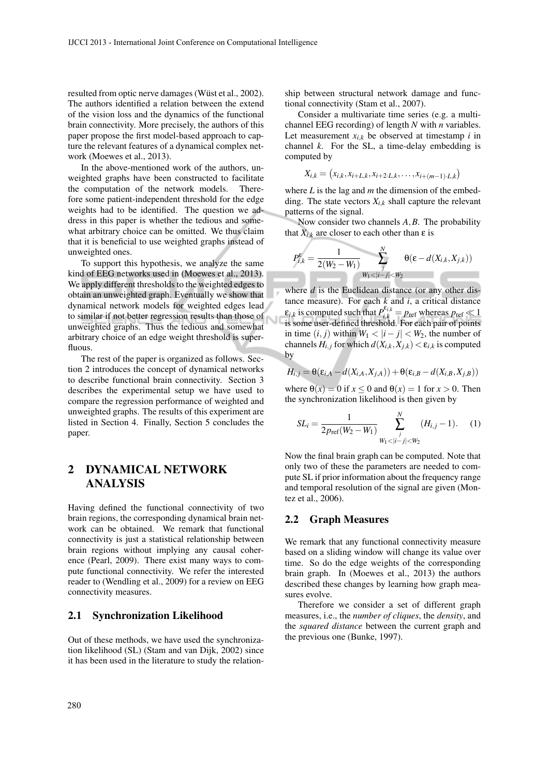resulted from optic nerve damages (Wüst et al., 2002). The authors identified a relation between the extend of the vision loss and the dynamics of the functional brain connectivity. More precisely, the authors of this paper propose the first model-based approach to capture the relevant features of a dynamical complex network (Moewes et al., 2013).

In the above-mentioned work of the authors, unweighted graphs have been constructed to facilitate the computation of the network models. Therefore some patient-independent threshold for the edge weights had to be identified. The question we address in this paper is whether the tedious and somewhat arbitrary choice can be omitted. We thus claim that it is beneficial to use weighted graphs instead of unweighted ones.

To support this hypothesis, we analyze the same kind of EEG networks used in (Moewes et al., 2013). We apply different thresholds to the weighted edges to obtain an unweighted graph. Eventually we show that dynamical network models for weighted edges lead to similar if not better regression results than those of unweighted graphs. Thus the tedious and somewhat arbitrary choice of an edge weight threshold is superfluous.

The rest of the paper is organized as follows. Section 2 introduces the concept of dynamical networks to describe functional brain connectivity. Section 3 describes the experimental setup we have used to compare the regression performance of weighted and unweighted graphs. The results of this experiment are listed in Section 4. Finally, Section 5 concludes the paper.

## 2 DYNAMICAL NETWORK ANALYSIS

Having defined the functional connectivity of two brain regions, the corresponding dynamical brain network can be obtained. We remark that functional connectivity is just a statistical relationship between brain regions without implying any causal coherence (Pearl, 2009). There exist many ways to compute functional connectivity. We refer the interested reader to (Wendling et al., 2009) for a review on EEG connectivity measures.

#### 2.1 Synchronization Likelihood

Out of these methods, we have used the synchronization likelihood (SL) (Stam and van Dijk, 2002) since it has been used in the literature to study the relationship between structural network damage and functional connectivity (Stam et al., 2007).

Consider a multivariate time series (e.g. a multichannel EEG recording) of length *N* with *n* variables. Let measurement  $x_{i,k}$  be observed at timestamp  $i$  in channel  $k$ . For the SL, a time-delay embedding is computed by

$$
X_{i,k} = (x_{i,k}, x_{i+L,k}, x_{i+2\cdot L,k}, \ldots, x_{i+(m-1)\cdot L,k})
$$

where *L* is the lag and *m* the dimension of the embedding. The state vectors  $X_{i,k}$  shall capture the relevant patterns of the signal.

Now consider two channels *A*,*B*. The probability that  $X_{i,k}$  are closer to each other than  $\varepsilon$  is

$$
P_{i,k}^{\varepsilon} = \frac{1}{2(W_2 - W_1)} \sum_{\substack{j \\ W_1 < |i-j| < W_2}}^{N} \Theta(\varepsilon - d(X_{i,k}, X_{j,k}))
$$

where *d* is the Euclidean distance (or any other distance measure). For each  $k$  and  $i$ , a critical distance  $\epsilon_{i,k}$  is computed such that  $P^{\epsilon_{i,k}}_{i,k} = p_{\text{ref}}$  whereas  $p_{\text{ref}} \ll 1$ is some user-defined threshold. For each pair of points in time  $(i, j)$  within  $W_1 < |i - j| < W_2$ , the number of channels  $H_{i,j}$  for which  $d(X_{i,k}, X_{j,k}) < \varepsilon_{i,k}$  is computed by

$$
H_{i,j} = \theta(\varepsilon_{i,A} - d(X_{i,A},X_{j,A})) + \theta(\varepsilon_{i,B} - d(X_{i,B},X_{j,B}))
$$

where  $\theta(x) = 0$  if  $x \le 0$  and  $\theta(x) = 1$  for  $x > 0$ . Then the synchronization likelihood is then given by

$$
SL_i = \frac{1}{2p_{\text{ref}}(W_2 - W_1)} \sum_{W_1 < |i - j| < W_2}^{N} (H_{i,j} - 1). \tag{1}
$$

Now the final brain graph can be computed. Note that only two of these the parameters are needed to compute SL if prior information about the frequency range and temporal resolution of the signal are given (Montez et al., 2006).

#### 2.2 Graph Measures

We remark that any functional connectivity measure based on a sliding window will change its value over time. So do the edge weights of the corresponding brain graph. In (Moewes et al., 2013) the authors described these changes by learning how graph measures evolve.

Therefore we consider a set of different graph measures, i.e., the *number of cliques*, the *density*, and the *squared distance* between the current graph and the previous one (Bunke, 1997).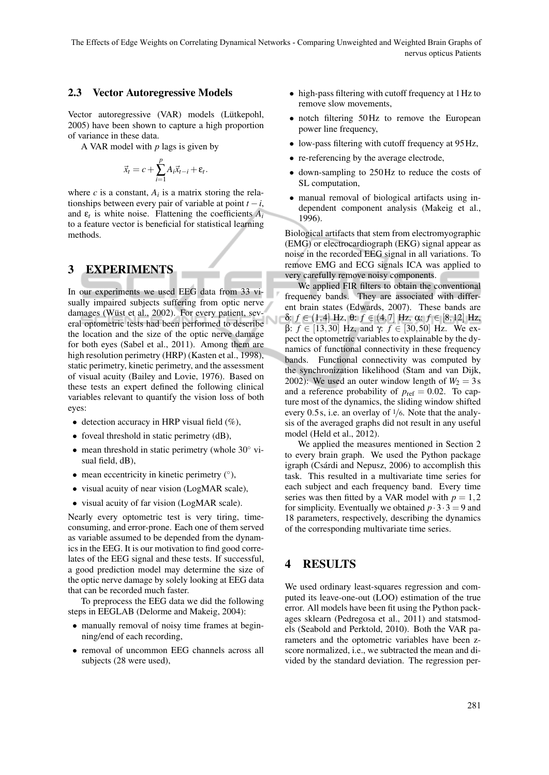#### 2.3 Vector Autoregressive Models

Vector autoregressive (VAR) models (Lütkepohl, 2005) have been shown to capture a high proportion of variance in these data.

A VAR model with *p* lags is given by

$$
\vec{x}_t = c + \sum_{i=1}^p A_i \vec{x}_{t-i} + \varepsilon_t.
$$

where  $c$  is a constant,  $A_i$  is a matrix storing the relationships between every pair of variable at point  $t - i$ , and  $\varepsilon$ <sup>*t*</sup> is white noise. Flattening the coefficients  $A$ <sup>*i*</sup> to a feature vector is beneficial for statistical learning methods.

### 3 EXPERIMENTS

In our experiments we used EEG data from 33 visually impaired subjects suffering from optic nerve damages (Wüst et al., 2002). For every patient, several optometric tests had been performed to describe the location and the size of the optic nerve damage for both eyes (Sabel et al., 2011). Among them are high resolution perimetry (HRP) (Kasten et al., 1998), static perimetry, kinetic perimetry, and the assessment of visual acuity (Bailey and Lovie, 1976). Based on these tests an expert defined the following clinical variables relevant to quantify the vision loss of both eyes:

- detection accuracy in HRP visual field  $(\%)$ ,
- foveal threshold in static perimetry (dB),
- mean threshold in static perimetry (whole 30◦ visual field, dB),
- mean eccentricity in kinetic perimetry (°),
- visual acuity of near vision (LogMAR scale),
- visual acuity of far vision (LogMAR scale).

Nearly every optometric test is very tiring, timeconsuming, and error-prone. Each one of them served as variable assumed to be depended from the dynamics in the EEG. It is our motivation to find good correlates of the EEG signal and these tests. If successful, a good prediction model may determine the size of the optic nerve damage by solely looking at EEG data that can be recorded much faster.

To preprocess the EEG data we did the following steps in EEGLAB (Delorme and Makeig, 2004):

- manually removal of noisy time frames at beginning/end of each recording,
- removal of uncommon EEG channels across all subjects (28 were used),
- high-pass filtering with cutoff frequency at 1 Hz to remove slow movements,
- notch filtering 50Hz to remove the European power line frequency,
- low-pass filtering with cutoff frequency at 95 Hz,
- re-referencing by the average electrode.
- down-sampling to 250Hz to reduce the costs of SL computation,
- manual removal of biological artifacts using independent component analysis (Makeig et al., 1996).

Biological artifacts that stem from electromyographic (EMG) or electrocardiograph (EKG) signal appear as noise in the recorded EEG signal in all variations. To remove EMG and ECG signals ICA was applied to very carefully remove noisy components.

We applied FIR filters to obtain the conventional frequency bands. They are associated with different brain states (Edwards, 2007). These bands are δ: *f* ∈ (1,4] Hz, θ: *f* ∈ (4,7] Hz, α: *f* ∈ [8,12] Hz, β: *f* ∈ [13,30] Hz, and γ: *f* ∈ [30,50] Hz. We expect the optometric variables to explainable by the dynamics of functional connectivity in these frequency bands. Functional connectivity was computed by the synchronization likelihood (Stam and van Dijk, 2002): We used an outer window length of  $W_2 = 3$  s and a reference probability of  $p_{ref} = 0.02$ . To capture most of the dynamics, the sliding window shifted every 0.5 s, i.e. an overlay of 1/6. Note that the analysis of the averaged graphs did not result in any useful model (Held et al., 2012).

We applied the measures mentioned in Section 2 to every brain graph. We used the Python package igraph (Csárdi and Nepusz, 2006) to accomplish this task. This resulted in a multivariate time series for each subject and each frequency band. Every time series was then fitted by a VAR model with  $p = 1,2$ for simplicity. Eventually we obtained  $p \cdot 3 \cdot 3 = 9$  and 18 parameters, respectively, describing the dynamics of the corresponding multivariate time series.

## 4 RESULTS

We used ordinary least-squares regression and computed its leave-one-out (LOO) estimation of the true error. All models have been fit using the Python packages sklearn (Pedregosa et al., 2011) and statsmodels (Seabold and Perktold, 2010). Both the VAR parameters and the optometric variables have been zscore normalized, i.e., we subtracted the mean and divided by the standard deviation. The regression per-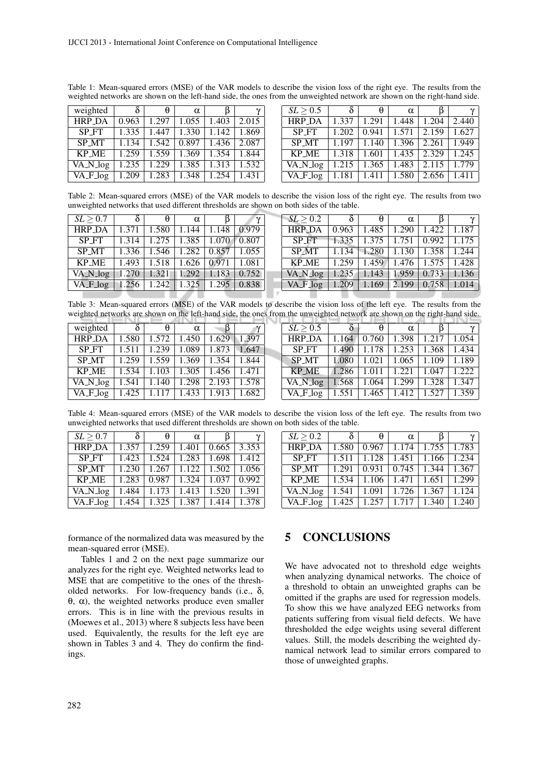| weighted     | $\delta$       | $\theta$ | $\alpha$ |                 |       | SL > 0.5     | $\delta$ | $\theta$ | $\alpha$ |       | $\gamma$ |
|--------------|----------------|----------|----------|-----------------|-------|--------------|----------|----------|----------|-------|----------|
| HRP_DA       | 0.963          | .297     | 1.055    | 1.403           | 2.015 | HRP_DA       | 1.337    | .291     | .448     | 1.204 | 2.440    |
| SP_FT        | 1.335          | .447     | 1.330    | 1.142           | 1.869 | SP_FT        | 1.202    | 0.941    | 1.571    | 2.159 | 1.627    |
| <b>SP_MT</b> | $\sqrt{1.134}$ | 1.542    | 0.897    | 1.436           | 2.087 | SP MT        | 1.197    | 1.140    | 1.396    | 2.261 | 1.949    |
| <b>KP_ME</b> | 1.259          | 1.559    | 1.369    | 1.354           | 1.844 | <b>KP_ME</b> | 1.318    | 1.601    | 1.435    | 2.329 | 1.245    |
| VA_N_log     | 1.235          | 1.229    |          | $1.385$   1.313 | 1.532 | VA_N_log     | 1.215    | 1.365    | 1.483    | 2.115 | 1.779    |
| VA_F_log     | 1.209          | 1.283    | 1.348    | 1.254           | 1.431 | VA_F_log     | 1.181    | 1.411    | 1.580    | 2.656 | 1.411    |

Table 1: Mean-squared errors (MSE) of the VAR models to describe the vision loss of the right eye. The results from the weighted networks are shown on the left-hand side, the ones from the unweighted network are shown on the right-hand side.

Table 2: Mean-squared errors (MSE) of the VAR models to describe the vision loss of the right eye. The results from two unweighted networks that used different thresholds are shown on both sides of the table.

| SL > 0.7                                         | $\overline{\delta}$ | $\theta$ | $\alpha$ |                                               | SL > 0.2                                         | $\overline{\delta}$ | $\theta$ | $\alpha$                                | $\gamma$ |
|--------------------------------------------------|---------------------|----------|----------|-----------------------------------------------|--------------------------------------------------|---------------------|----------|-----------------------------------------|----------|
| HRP_DA   1.371   1.580   1.144                   |                     |          |          | $1.148 \mid 0.979$                            | <b>HRP_DA</b>                                    | 0.963               |          | $1.485$   1.290   1.422   1.187         |          |
| SP_FT                                            |                     |          |          | 1.314   1.275   1.385   1.070   0.807         | SP_FT                                            |                     |          | $1.335$   1.375   1.751   0.992   1.175 |          |
| SP_MT 1.336 1.546 1.282 0.857 1.055              |                     |          |          |                                               | $SP_MT$   1.134                                  |                     |          | $1.280$ $1.130$ $1.358$ $1.244$         |          |
| KP_ME                                            |                     |          |          | $\vert$ 1.493   1.518   1.626   0.971   1.081 | $KP_ME$   1.259                                  |                     |          | $1.459$   1.476   1.575   1.428         |          |
| VA_N_log   1.270   1.321   1.292   1.183   0.752 |                     |          |          |                                               | VA_N_log   1.235   1.143   1.959   0.733   1.136 |                     |          |                                         |          |
| VA F log   1.256   1.242   1.325   1.295   0.838 |                     |          |          |                                               | VA F log   1.209   1.169   2.199   0.758   1.014 |                     |          |                                         |          |

VA N log | 1.235 | 1.143 | 1.959 | 0.733 | 1.136 VA F log | 1.209 | 1.169 | 2.199 | 0.758 | 1.014 and the contract of the contract of - -. . Table 3: Mean-squared errors (MSE) of the VAR models to describe the vision loss of the left eye. The results from the

|               | weighted networks are shown on the left-hand side, the ones from the unweighted network are shown on the right-hand side. |       |          |                 |       |  |               |       |       |          |       |       |
|---------------|---------------------------------------------------------------------------------------------------------------------------|-------|----------|-----------------|-------|--|---------------|-------|-------|----------|-------|-------|
| weighted      |                                                                                                                           | θ     | $\alpha$ |                 |       |  | SL > 0.5      |       |       | $\alpha$ |       |       |
| <b>HRP DA</b> | .580                                                                                                                      | 1.572 | 1.450    | $1.629$   1.397 |       |  | <b>HRP DA</b> | 1.164 | 0.760 | .398     | 1.217 | 1.054 |
| <b>SP_FT</b>  | 1.511                                                                                                                     | .239  | 1.089    | 1.873           | 1.647 |  | <b>SP_FT</b>  | 1.490 | 1.178 | .253     | 1.368 | 1.434 |
| <b>SP MT</b>  | 1.259                                                                                                                     | 1.559 | 1.369    | 1.354           | 1.844 |  | <b>SP_MT</b>  | 1.080 | 1.021 | 1.065    | 1.109 | 1.189 |
| <b>KP_ME</b>  | 1.534                                                                                                                     | 1.103 | 1.305    | .456            | 1.471 |  | <b>KP_ME</b>  | 1.286 | 1.011 | .221     | 1.047 | 1.222 |
| VA_N_log      | .541                                                                                                                      | 1.140 | 1.298    | 2.193           | 1.578 |  | VA_N_log      | 1.568 | .064  | .299     | 1.328 | 1.347 |
| $VA_F$ $log$  | .425                                                                                                                      |       | 1.433    | 1.913           | 1.682 |  | $VA_F$ $log$  | 1.551 | .465  | 1.412    | 1.527 | 1.359 |

Table 4: Mean-squared errors (MSE) of the VAR models to describe the vision loss of the left eye. The results from two unweighted networks that used different thresholds are shown on both sides of the table.

| SL > 0.7                      | $\delta$ | θ     | $\alpha$ |       |       |
|-------------------------------|----------|-------|----------|-------|-------|
| <b>HRP_DA</b>                 | 1.357    | 1.259 | 1.401    | 0.665 | 3.353 |
| <b>SPFT</b>                   | 1.423    | 1.524 | 1.283    | 1.698 | 1.412 |
| <b>SP_MT</b>                  | 1.230    | 1.267 | 1.122    | 1.502 | 1.056 |
| <b>KP_ME</b>                  | 1.283    | 0.987 | 1.324    | 1.037 | 0.992 |
| $\overline{VA} \sqrt{N} \log$ | 1.484    | 1.173 | 1.413    | 1.520 | 1.391 |
| $V A - F \log$                | 1.454    | 1.325 | 1.387    | 1.414 | 1.378 |

| SL > 0.2      | δ     | θ     | $\alpha$ |       | ν     |
|---------------|-------|-------|----------|-------|-------|
| <b>HRP DA</b> | 1.580 | 0.967 | 1.174    | 1.755 | 1.783 |
| <b>SP FT</b>  | 1.511 | 1.128 | 1.451    | 1.166 | 1.234 |
| <b>SP MT</b>  | 1.291 | 0.931 | 0.745    | 1.344 | 1.367 |
| <b>KP ME</b>  | 1.534 | 1.106 | 1.471    | 1.651 | 1.299 |
| VA_N_log      | 1.541 | 1.091 | 1.726    | 1.367 | 1.124 |
| VA_F_log      | 1.425 | 1.257 | 1.717    | 1.340 | 1.240 |

formance of the normalized data was measured by the mean-squared error (MSE).

Tables 1 and 2 on the next page summarize our analyzes for the right eye. Weighted networks lead to MSE that are competitive to the ones of the thresholded networks. For low-frequency bands (i.e.,  $\delta$ , θ, α), the weighted networks produce even smaller errors. This is in line with the previous results in (Moewes et al., 2013) where 8 subjects less have been used. Equivalently, the results for the left eye are shown in Tables 3 and 4. They do confirm the findings.

### 5 CONCLUSIONS

We have advocated not to threshold edge weights when analyzing dynamical networks. The choice of a threshold to obtain an unweighted graphs can be omitted if the graphs are used for regression models. To show this we have analyzed EEG networks from patients suffering from visual field defects. We have thresholded the edge weights using several different values. Still, the models describing the weighted dynamical network lead to similar errors compared to those of unweighted graphs.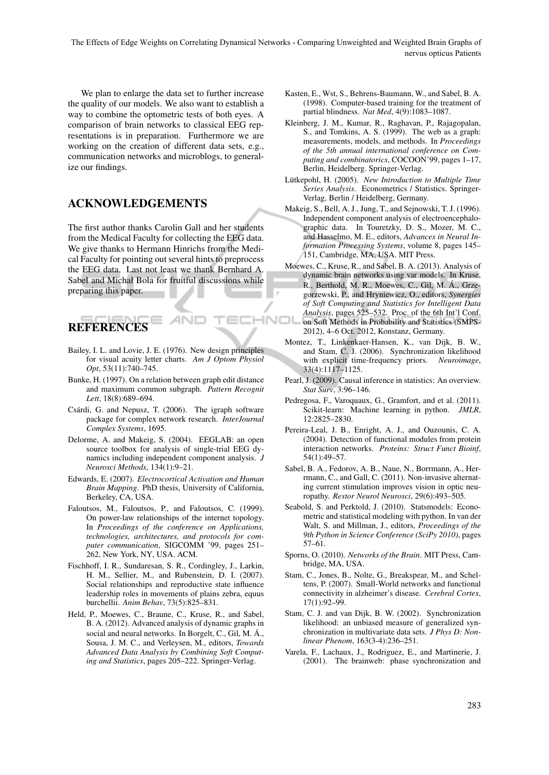The Effects of Edge Weights on Correlating Dynamical Networks - Comparing Unweighted and Weighted Brain Graphs of nervus opticus Patients

We plan to enlarge the data set to further increase the quality of our models. We also want to establish a way to combine the optometric tests of both eyes. A comparison of brain networks to classical EEG representations is in preparation. Furthermore we are working on the creation of different data sets, e.g., communication networks and microblogs, to generalize our findings.

## ACKNOWLEDGEMENTS

The first author thanks Carolin Gall and her students from the Medical Faculty for collecting the EEG data. We give thanks to Hermann Hinrichs from the Medical Faculty for pointing out several hints to preprocess the EEG data. Last not least we thank Bernhard A. Sabel and Michał Bola for fruitful discussions while preparing this paper.

# **REFERENCES**

Bailey, I. L. and Lovie, J. E. (1976). New design principles for visual acuity letter charts. *Am J Optom Physiol Opt*, 53(11):740–745.

4NE

- Bunke, H. (1997). On a relation between graph edit distance and maximum common subgraph. *Pattern Recognit Lett*, 18(8):689–694.
- Csárdi, G. and Nepusz, T. (2006). The igraph software package for complex network research. *InterJournal Complex Systems*, 1695.
- Delorme, A. and Makeig, S. (2004). EEGLAB: an open source toolbox for analysis of single-trial EEG dynamics including independent component analysis. *J Neurosci Methods*, 134(1):9–21.
- Edwards, E. (2007). *Electrocortical Activation and Human Brain Mapping*. PhD thesis, University of California, Berkeley, CA, USA.
- Faloutsos, M., Faloutsos, P., and Faloutsos, C. (1999). On power-law relationships of the internet topology. In *Proceedings of the conference on Applications, technologies, architectures, and protocols for computer communication*, SIGCOMM '99, pages 251– 262, New York, NY, USA. ACM.
- Fischhoff, I. R., Sundaresan, S. R., Cordingley, J., Larkin, H. M., Sellier, M., and Rubenstein, D. I. (2007). Social relationships and reproductive state influence leadership roles in movements of plains zebra, equus burchellii. *Anim Behav*, 73(5):825–831.
- Held, P., Moewes, C., Braune, C., Kruse, R., and Sabel, B. A. (2012). Advanced analysis of dynamic graphs in social and neural networks. In Borgelt, C., Gil, M. Á., Sousa, J. M. C., and Verleysen, M., editors, *Towards Advanced Data Analysis by Combining Soft Computing and Statistics*, pages 205–222. Springer-Verlag.
- Kasten, E., Wst, S., Behrens-Baumann, W., and Sabel, B. A. (1998). Computer-based training for the treatment of partial blindness. *Nat Med*, 4(9):1083–1087.
- Kleinberg, J. M., Kumar, R., Raghavan, P., Rajagopalan, S., and Tomkins, A. S. (1999). The web as a graph: measurements, models, and methods. In *Proceedings of the 5th annual international conference on Computing and combinatorics*, COCOON'99, pages 1–17, Berlin, Heidelberg. Springer-Verlag.
- Lütkepohl, H. (2005). New Introduction to Multiple Time *Series Analysis*. Econometrics / Statistics. Springer-Verlag, Berlin / Heidelberg, Germany.
- Makeig, S., Bell, A. J., Jung, T., and Sejnowski, T. J. (1996). Independent component analysis of electroencephalographic data. In Touretzky, D. S., Mozer, M. C., and Hasselmo, M. E., editors, *Advances in Neural Information Processing Systems*, volume 8, pages 145– 151, Cambridge, MA, USA. MIT Press.
- Moewes, C., Kruse, R., and Sabel, B. A. (2013). Analysis of dynamic brain networks using var models. In Kruse, R., Berthold, M. R., Moewes, C., Gil, M. A., Grze- ´ gorzewski, P., and Hryniewicz, O., editors, *Synergies of Soft Computing and Statistics for Intelligent Data Analysis*, pages 525–532. Proc. of the 6th Int'l Conf. **INDI** on Soft Methods in Probability and Statistics (SMPS-2012), 4–6 Oct. 2012, Konstanz, Germany.
	- Montez, T., Linkenkaer-Hansen, K., van Dijk, B. W., and Stam, C. J. (2006). Synchronization likelihood with explicit time-frequency priors. *Neuroimage*, 33(4):1117–1125.
	- Pearl, J. (2009). Causal inference in statistics: An overview. *Stat Surv*, 3:96–146.
	- Pedregosa, F., Varoquaux, G., Gramfort, and et al. (2011). Scikit-learn: Machine learning in python. *JMLR*, 12:2825–2830.
	- Pereira-Leal, J. B., Enright, A. J., and Ouzounis, C. A. (2004). Detection of functional modules from protein interaction networks. *Proteins: Struct Funct Bioinf*, 54(1):49–57.
	- Sabel, B. A., Fedorov, A. B., Naue, N., Borrmann, A., Herrmann, C., and Gall, C. (2011). Non-invasive alternating current stimulation improves vision in optic neuropathy. *Restor Neurol Neurosci*, 29(6):493–505.
	- Seabold, S. and Perktold, J. (2010). Statsmodels: Econometric and statistical modeling with python. In van der Walt, S. and Millman, J., editors, *Proceedings of the 9th Python in Science Conference (SciPy 2010)*, pages 57–61.
	- Sporns, O. (2010). *Networks of the Brain*. MIT Press, Cambridge, MA, USA.
	- Stam, C., Jones, B., Nolte, G., Breakspear, M., and Scheltens, P. (2007). Small-World networks and functional connectivity in alzheimer's disease. *Cerebral Cortex*, 17(1):92–99.
	- Stam, C. J. and van Dijk, B. W. (2002). Synchronization likelihood: an unbiased measure of generalized synchronization in multivariate data sets. *J Phys D: Nonlinear Phenom*, 163(3-4):236–251.
	- Varela, F., Lachaux, J., Rodriguez, E., and Martinerie, J. (2001). The brainweb: phase synchronization and